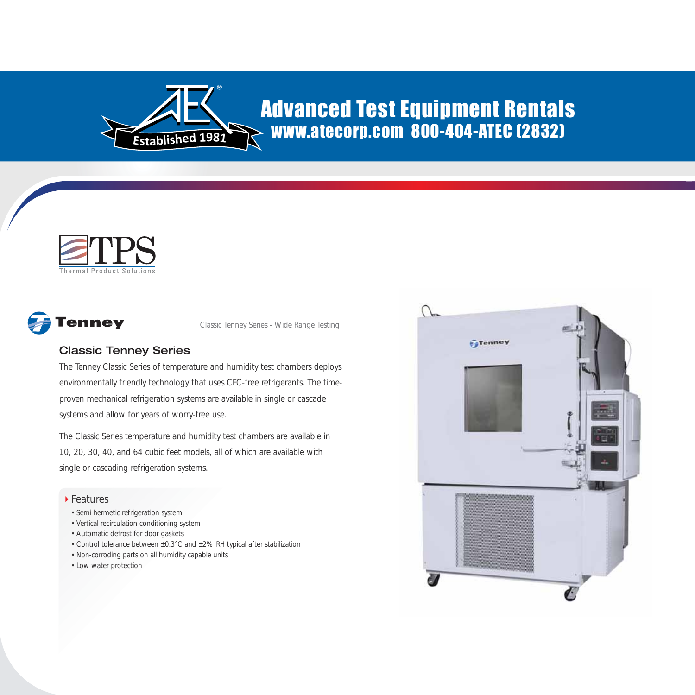

## Advanced Test Equipment Rentals www.atecorp.com 800-404-ATEC (2832)





Classic Tenney Series - Wide Range Testing

## Classic Tenney Series

The Tenney Classic Series of temperature and humidity test chambers deploys environmentally friendly technology that uses CFC-free refrigerants. The timeproven mechanical refrigeration systems are available in single or cascade systems and allow for years of worry-free use.

The Classic Series temperature and humidity test chambers are available in 10, 20, 30, 40, and 64 cubic feet models, all of which are available with single or cascading refrigeration systems.

## ▶ Features

- Semi hermetic refrigeration system
- Vertical recirculation conditioning system
- Automatic defrost for door gaskets
- Control tolerance between ±0.3°C and ±2% RH typical after stabilization
- Non-corroding parts on all humidity capable units
- Low water protection

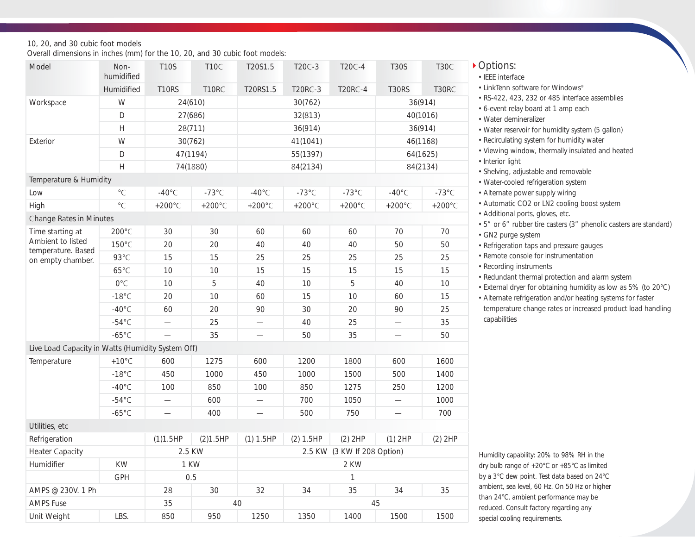10, 20, and 30 cubic foot models

Overall dimensions in inches (mm) for the 10, 20, and 30 cubic foot models:

| Model                                             | Non-<br>humidified                                   | <b>T10S</b>              | <b>T10C</b>       | T20S1.5                     | T20C-3           | T20C-4            | <b>T30S</b>              | T <sub>3</sub> 0C |  |  |  |
|---------------------------------------------------|------------------------------------------------------|--------------------------|-------------------|-----------------------------|------------------|-------------------|--------------------------|-------------------|--|--|--|
|                                                   | Humidified                                           | <b>T10RS</b>             | T10RC             | T20RS1.5                    | <b>T20RC-3</b>   | <b>T20RC-4</b>    | <b>T30RS</b>             | T30RC             |  |  |  |
| Workspace                                         | W                                                    | 24(610)                  |                   |                             | 30(762)          | 36(914)           |                          |                   |  |  |  |
|                                                   | D                                                    | 27(686)                  |                   |                             | 32(813)          | 40(1016)          |                          |                   |  |  |  |
|                                                   | H                                                    | 28(711)                  |                   |                             | 36(914)          | 36(914)           |                          |                   |  |  |  |
| Exterior                                          | W                                                    | 30(762)                  |                   |                             | 41(1041)         | 46(1168)          |                          |                   |  |  |  |
|                                                   | D                                                    | 47(1194)                 |                   |                             | 55(1397)         | 64(1625)          |                          |                   |  |  |  |
|                                                   | $\mathsf{H}% _{0}\left( \mathcal{M}_{0}\right) ^{T}$ | 74(1880)                 |                   |                             | 84(2134)         | 84(2134)          |                          |                   |  |  |  |
| Temperature & Humidity                            |                                                      |                          |                   |                             |                  |                   |                          |                   |  |  |  |
| Low                                               | $^\circ \mathsf{C}$                                  | $-40^{\circ}$ C          | $-73^{\circ}$ C   | $-40^{\circ}$ C             | $-73^{\circ}$ C  | $-73^{\circ}$ C   | $-40^{\circ}$ C          | $-73^{\circ}$ C   |  |  |  |
| High                                              | $^{\circ}{\sf C}$                                    | +200 $^{\circ}$ C        | +200 $^{\circ}$ C | +200 $^{\circ}$ C           | $+200^{\circ}$ C | +200 $^{\circ}$ C | $+200^{\circ}$ C         | +200 $^{\circ}$ C |  |  |  |
| Change Rates in Minutes                           |                                                      |                          |                   |                             |                  |                   |                          |                   |  |  |  |
| Time starting at<br>Ambient to listed             | 200°C                                                | 30                       | 30                | 60                          | 60               | 60                | 70                       | 70                |  |  |  |
|                                                   | 150°C                                                | 20                       | 20                | 40                          | 40               | 40                | 50                       | 50                |  |  |  |
| temperature. Based<br>on empty chamber.           | 93°C                                                 | 15                       | 15                | 25                          | 25               | 25                | 25                       | 25                |  |  |  |
|                                                   | $65^{\circ}$ C                                       | 10                       | 10                | 15                          | 15               | 15                | 15                       | 15                |  |  |  |
|                                                   | $0^{\circ}$ C                                        | 10                       | 5                 | 40                          | 10               | 5                 | 40                       | 10                |  |  |  |
|                                                   | $-18^{\circ}$ C                                      | 20                       | 10                | 60                          | 15               | 10                | 60                       | 15                |  |  |  |
|                                                   | $-40^{\circ}$ C                                      | 60                       | 20                | 90                          | 30               | 20                | 90                       | 25                |  |  |  |
|                                                   | $-54^{\circ}$ C                                      |                          | 25                |                             | 40               | 25                | $\overline{\phantom{0}}$ | 35                |  |  |  |
|                                                   | $-65^{\circ}$ C                                      | $\qquad \qquad$          | 35                | $\overline{\phantom{0}}$    | 50               | 35                | $\overline{\phantom{0}}$ | 50                |  |  |  |
| Live Load Capacity in Watts (Humidity System Off) |                                                      |                          |                   |                             |                  |                   |                          |                   |  |  |  |
| Temperature                                       | $+10^{\circ}$ C                                      | 600                      | 1275              | 600                         | 1200             | 1800              | 600                      | 1600              |  |  |  |
|                                                   | $-18^{\circ}$ C                                      | 450                      | 1000              | 450                         | 1000             | 1500              | 500                      | 1400              |  |  |  |
|                                                   | $-40^{\circ}$ C                                      | 100                      | 850               | 100                         | 850              | 1275              | 250                      | 1200              |  |  |  |
|                                                   | $-54^{\circ}C$                                       |                          | 600               |                             | 700              | 1050              |                          | 1000              |  |  |  |
|                                                   | $-65^{\circ}$ C                                      | $\overline{\phantom{0}}$ | 400               |                             | 500              | 750               |                          | 700               |  |  |  |
| Utilities, etc                                    |                                                      |                          |                   |                             |                  |                   |                          |                   |  |  |  |
| Refrigeration                                     |                                                      | (1)1.5HP                 | (2)1.5HP          | (1) 1.5HP                   | (2) 1.5HP        | $(2)$ 2HP         | $(1)$ 2HP                | $(2)$ 2HP         |  |  |  |
| <b>Heater Capacity</b>                            |                                                      | 2.5 KW                   |                   | 2.5 KW (3 KW If 208 Option) |                  |                   |                          |                   |  |  |  |
| Humidifier                                        | KW                                                   | 1 KW                     |                   | 2 KW                        |                  |                   |                          |                   |  |  |  |
|                                                   | GPH                                                  | 0.5                      |                   |                             |                  |                   |                          |                   |  |  |  |
| AMPS @ 230V. 1 Ph                                 |                                                      | 28                       | 30                | 32                          | 34               | 35                | 34                       | 35                |  |  |  |
| <b>AMPS Fuse</b>                                  |                                                      | 35                       |                   | 40                          |                  |                   | 45                       |                   |  |  |  |
| Unit Weight                                       | LBS.                                                 | 850                      | 950               | 1250                        | 1350             | 1400              | 1500                     | 1500              |  |  |  |

| Options: |
|----------|
|          |

- IEEE interface
- LinkTenn software for Windows®
- RS-422, 423, 232 or 485 interface assemblies
- 6-event relay board at 1 amp each
- Water demineralizer
- Water reservoir for humidity system (5 gallon)
- Recirculating system for humidity water
- Viewing window, thermally insulated and heated
- Interior light
- Shelving, adjustable and removable
- Water-cooled refrigeration system
- Alternate power supply wiring
- Automatic CO2 or LN2 cooling boost system
- Additional ports, gloves, etc.
- 5" or 6" rubber tire casters (3" phenolic casters are standard) • GN2 purge system
- Refrigeration taps and pressure gauges
- Remote console for instrumentation
- Recording instruments
- Redundant thermal protection and alarm system
- External dryer for obtaining humidity as low as 5% (to 20°C)

• Alternate refrigeration and/or heating systems for faster temperature change rates or increased product load handling capabilities

*Humidity capability: 20% to 98% RH in the dry bulb range of +20°C or +85°C as limited by a 3°C dew point. Test data based on 24°C ambient, sea level, 60 Hz. On 50 Hz or higher than 24°C, ambient performance may be reduced. Consult factory regarding any special cooling requirements.*